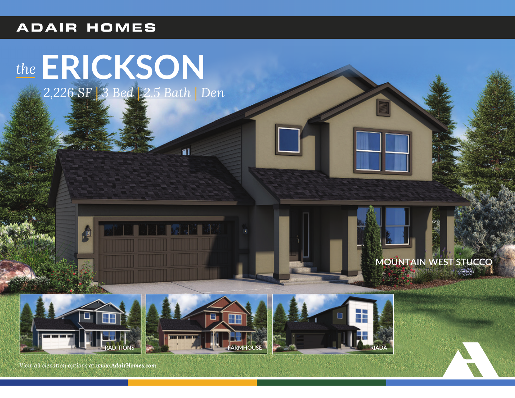## **ADAIR HOMES**

# the **ERICKSON**<br>2,226 SF 3 Bed 2.5 Bath | Den







fil



View all elevation options at www.AdairHomes.com